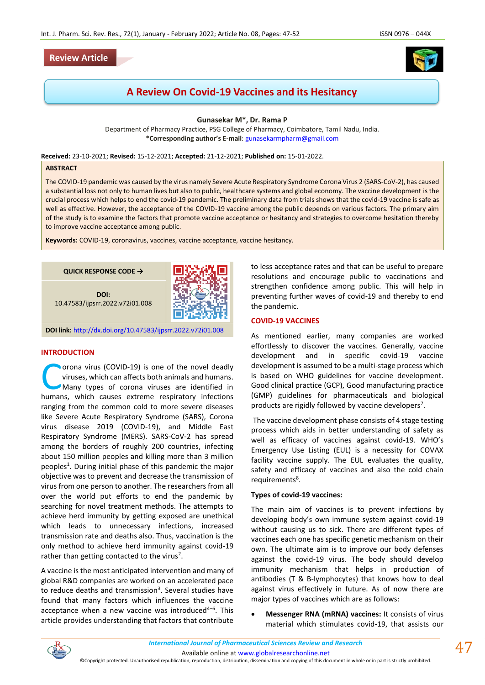# **Review Article**



# **A Review On Covid-19 Vaccines and its Hesitancy**

**Gunasekar M\*, Dr. Rama P**

Department of Pharmacy Practice, PSG College of Pharmacy, Coimbatore, Tamil Nadu, India. **\*Corresponding author's E-mail**: [gunasekarmpharm@gmail.com](mailto:gunasekarmpharm@gmail.com)

**Received:** 23-10-2021; **Revised:** 15-12-2021; **Accepted:** 21-12-2021; **Published on:** 15-01-2022.

#### **ABSTRACT**

The COVID-19 pandemic was caused by the virus namely Severe Acute Respiratory Syndrome Corona Virus 2 (SARS-CoV-2), has caused a substantial loss not only to human lives but also to public, healthcare systems and global economy. The vaccine development is the crucial process which helps to end the covid-19 pandemic. The preliminary data from trials shows that the covid-19 vaccine is safe as well as effective. However, the acceptance of the COVID-19 vaccine among the public depends on various factors. The primary aim of the study is to examine the factors that promote vaccine acceptance or hesitancy and strategies to overcome hesitation thereby to improve vaccine acceptance among public.

**Keywords:** COVID-19, coronavirus, vaccines, vaccine acceptance, vaccine hesitancy.



#### **INTRODUCTION**

orona virus (COVID-19) is one of the novel deadly viruses, which can affects both animals and humans. Many types of corona viruses are identified in **COVID-19)** is one of the novel deadly viruses, which can affects both animals and humans.<br>
Many types of corona viruses are identified in humans, which causes extreme respiratory infections ranging from the common cold to more severe diseases like Severe Acute Respiratory Syndrome (SARS), Corona virus disease 2019 (COVID-19), and Middle East Respiratory Syndrome (MERS). SARS-CoV-2 has spread among the borders of roughly 200 countries, infecting about 150 million peoples and killing more than 3 million peoples<sup>1</sup>. During initial phase of this pandemic the major objective was to prevent and decrease the transmission of virus from one person to another. The researchers from all over the world put efforts to end the pandemic by searching for novel treatment methods. The attempts to achieve herd immunity by getting exposed are unethical which leads to unnecessary infections, increased transmission rate and deaths also. Thus, vaccination is the only method to achieve herd immunity against covid-19 rather than getting contacted to the virus<sup>2</sup>.

A vaccine is the most anticipated intervention and many of global R&D companies are worked on an accelerated pace to reduce deaths and transmission<sup>3</sup>. Several studies have found that many factors which influences the vaccine acceptance when a new vaccine was introduced<sup>4-6</sup>. This article provides understanding that factors that contribute

to less acceptance rates and that can be useful to prepare resolutions and encourage public to vaccinations and strengthen confidence among public. This will help in preventing further waves of covid-19 and thereby to end the pandemic.

#### **COVID-19 VACCINES**

As mentioned earlier, many companies are worked effortlessly to discover the vaccines. Generally, vaccine development and in specific covid-19 vaccine development is assumed to be a multi-stage process which is based on WHO guidelines for vaccine development. Good clinical practice (GCP), Good manufacturing practice (GMP) guidelines for pharmaceuticals and biological products are rigidly followed by vaccine developers<sup>7</sup>.

The vaccine development phase consists of 4 stage testing process which aids in better understanding of safety as well as efficacy of vaccines against covid-19. WHO's Emergency Use Listing (EUL) is a necessity for COVAX facility vaccine supply. The EUL evaluates the quality, safety and efficacy of vaccines and also the cold chain requirements<sup>8</sup>.

#### **Types of covid-19 vaccines:**

The main aim of vaccines is to prevent infections by developing body's own immune system against covid-19 without causing us to sick. There are different types of vaccines each one has specific genetic mechanism on their own. The ultimate aim is to improve our body defenses against the covid-19 virus. The body should develop immunity mechanism that helps in production of antibodies (T & B-lymphocytes) that knows how to deal against virus effectively in future. As of now there are major types of vaccines which are as follows:

• **Messenger RNA (mRNA) vaccines:** It consists of virus material which stimulates covid-19, that assists our



©Copyright protected. Unauthorised republication, reproduction, distribution, dissemination and copying of this document in whole or in part is strictly prohibited.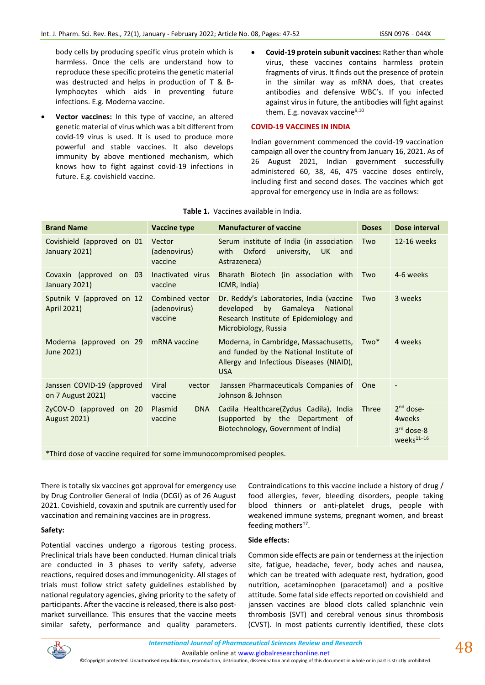body cells by producing specific virus protein which is harmless. Once the cells are understand how to reproduce these specific proteins the genetic material was destructed and helps in production of T & Blymphocytes which aids in preventing future infections. E.g. Moderna vaccine.

- **Vector vaccines:** In this type of vaccine, an altered genetic material of virus which was a bit different from covid-19 virus is used. It is used to produce more powerful and stable vaccines. It also develops immunity by above mentioned mechanism, which knows how to fight against covid-19 infections in future. E.g. covishield vaccine.
- **Covid-19 protein subunit vaccines:** Rather than whole virus, these vaccines contains harmless protein fragments of virus. It finds out the presence of protein in the similar way as mRNA does, that creates antibodies and defensive WBC's. If you infected against virus in future, the antibodies will fight against them. E.g. novavax vaccine $9,10$

# **COVID-19 VACCINES IN INDIA**

Indian government commenced the covid-19 vaccination campaign all over the country from January 16, 2021. As of 26 August 2021, Indian government successfully administered 60, 38, 46, 475 vaccine doses entirely, including first and second doses. The vaccines which got approval for emergency use in India are as follows:

| <b>Brand Name</b>                               | Vaccine type                               | <b>Manufacturer of vaccine</b>                                                                                                                     | <b>Doses</b> | Dose interval                                                               |
|-------------------------------------------------|--------------------------------------------|----------------------------------------------------------------------------------------------------------------------------------------------------|--------------|-----------------------------------------------------------------------------|
| Covishield (approved on 01<br>January 2021)     | Vector<br>(adenovirus)<br>vaccine          | Serum institute of India (in association<br>Oxford<br>university,<br>with<br>UK.<br>and<br>Astrazeneca)                                            | Two          | 12-16 weeks                                                                 |
| Covaxin (approved on 03<br>January 2021)        | Inactivated virus<br>vaccine               | Bharath Biotech (in association with<br>ICMR, India)                                                                                               | Two          | 4-6 weeks                                                                   |
| Sputnik V (approved on 12<br>April 2021)        | Combined vector<br>(adenovirus)<br>vaccine | Dr. Reddy's Laboratories, India (vaccine<br>developed<br>by Gamaleya<br>National<br>Research Institute of Epidemiology and<br>Microbiology, Russia | Two          | 3 weeks                                                                     |
| Moderna (approved on 29<br>June 2021)           | mRNA vaccine                               | Moderna, in Cambridge, Massachusetts, Two*<br>and funded by the National Institute of<br>Allergy and Infectious Diseases (NIAID),<br><b>USA</b>    |              | 4 weeks                                                                     |
| Janssen COVID-19 (approved<br>on 7 August 2021) | Viral<br>vector<br>vaccine                 | Janssen Pharmaceuticals Companies of<br>Johnson & Johnson                                                                                          | One          |                                                                             |
| ZyCOV-D (approved on 20<br><b>August 2021)</b>  | Plasmid<br><b>DNA</b><br>vaccine           | Cadila Healthcare(Zydus Cadila), India<br>(supported by the Department of<br>Biotechnology, Government of India)                                   | Three        | $2nd$ dose-<br>4 <sub>weeks</sub><br>$3rd$ dose-8<br>weeks <sup>11-16</sup> |

#### **Table 1.** Vaccines available in India.

\*Third dose of vaccine required for some immunocompromised peoples.

There is totally six vaccines got approval for emergency use by Drug Controller General of India (DCGI) as of 26 August 2021. Covishield, covaxin and sputnik are currently used for vaccination and remaining vaccines are in progress.

# **Safety:**

Potential vaccines undergo a rigorous testing process. Preclinical trials have been conducted. Human clinical trials are conducted in 3 phases to verify safety, adverse reactions, required doses and immunogenicity. All stages of trials must follow strict safety guidelines established by national regulatory agencies, giving priority to the safety of participants. After the vaccine is released, there is also postmarket surveillance. This ensures that the vaccine meets similar safety, performance and quality parameters. Contraindications to this vaccine include a history of drug / food allergies, fever, bleeding disorders, people taking blood thinners or anti-platelet drugs, people with weakened immune systems, pregnant women, and breast feeding mothers<sup>17</sup>.

# **Side effects:**

Common side effects are pain or tenderness at the injection site, fatigue, headache, fever, body aches and nausea, which can be treated with adequate rest, hydration, good nutrition, acetaminophen (paracetamol) and a positive attitude. Some fatal side effects reported on covishield and janssen vaccines are blood clots called splanchnic vein thrombosis (SVT) and cerebral venous sinus thrombosis (CVST). In most patients currently identified, these clots

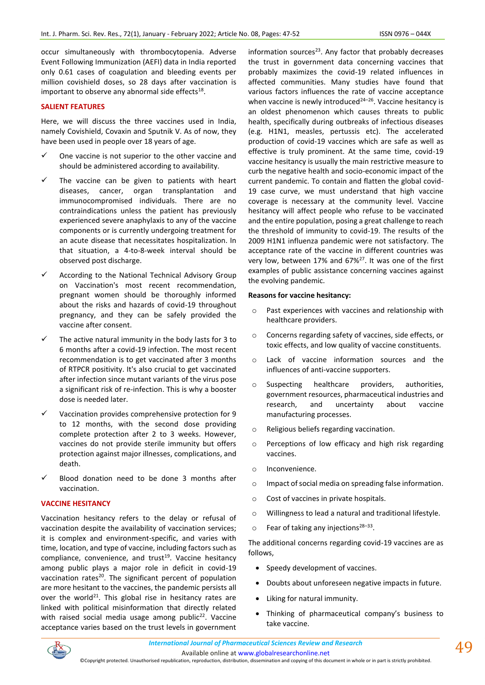occur simultaneously with thrombocytopenia. Adverse Event Following Immunization (AEFI) data in India reported only 0.61 cases of coagulation and bleeding events per million covishield doses, so 28 days after vaccination is important to observe any abnormal side effects $^{18}$ .

# **SALIENT FEATURES**

Here, we will discuss the three vaccines used in India, namely Covishield, Covaxin and Sputnik V. As of now, they have been used in people over 18 years of age.

- One vaccine is not superior to the other vaccine and should be administered according to availability.
- The vaccine can be given to patients with heart diseases, cancer, organ transplantation and immunocompromised individuals. There are no contraindications unless the patient has previously experienced severe anaphylaxis to any of the vaccine components or is currently undergoing treatment for an acute disease that necessitates hospitalization. In that situation, a 4-to-8-week interval should be observed post discharge.
- According to the National Technical Advisory Group on Vaccination's most recent recommendation, pregnant women should be thoroughly informed about the risks and hazards of covid-19 throughout pregnancy, and they can be safely provided the vaccine after consent.
- The active natural immunity in the body lasts for 3 to 6 months after a covid-19 infection. The most recent recommendation is to get vaccinated after 3 months of RTPCR positivity. It's also crucial to get vaccinated after infection since mutant variants of the virus pose a significant risk of re-infection. This is why a booster dose is needed later.
- Vaccination provides comprehensive protection for 9 to 12 months, with the second dose providing complete protection after 2 to 3 weeks. However, vaccines do not provide sterile immunity but offers protection against major illnesses, complications, and death.
- $\checkmark$  Blood donation need to be done 3 months after vaccination.

### **VACCINE HESITANCY**

Vaccination hesitancy refers to the delay or refusal of vaccination despite the availability of vaccination services; it is complex and environment-specific, and varies with time, location, and type of vaccine, including factors such as compliance, convenience, and trust<sup>19</sup>. Vaccine hesitancy among public plays a major role in deficit in covid-19 vaccination rates $^{20}$ . The significant percent of population are more hesitant to the vaccines, the pandemic persists all over the world<sup>21</sup>. This global rise in hesitancy rates are linked with political misinformation that directly related with raised social media usage among public $22$ . Vaccine acceptance varies based on the trust levels in government

information sources $23$ . Any factor that probably decreases the trust in government data concerning vaccines that probably maximizes the covid-19 related influences in affected communities. Many studies have found that various factors influences the rate of vaccine acceptance when vaccine is newly introduced $24-26$ . Vaccine hesitancy is an oldest phenomenon which causes threats to public health, specifically during outbreaks of infectious diseases (e.g. H1N1, measles, pertussis etc). The accelerated production of covid-19 vaccines which are safe as well as effective is truly prominent. At the same time, covid-19 vaccine hesitancy is usually the main restrictive measure to curb the negative health and socio-economic impact of the current pandemic. To contain and flatten the global covid-19 case curve, we must understand that high vaccine coverage is necessary at the community level. Vaccine hesitancy will affect people who refuse to be vaccinated and the entire population, posing a great challenge to reach the threshold of immunity to covid-19. The results of the 2009 H1N1 influenza pandemic were not satisfactory. The acceptance rate of the vaccine in different countries was very low, between 17% and 67%<sup>27</sup>. It was one of the first examples of public assistance concerning vaccines against the evolving pandemic.

#### **Reasons for vaccine hesitancy:**

- o Past experiences with vaccines and relationship with healthcare providers.
- o Concerns regarding safety of vaccines, side effects, or toxic effects, and low quality of vaccine constituents.
- o Lack of vaccine information sources and the influences of anti-vaccine supporters.
- o Suspecting healthcare providers, authorities, government resources, pharmaceutical industries and research, and uncertainty about vaccine manufacturing processes.
- o Religious beliefs regarding vaccination.
- o Perceptions of low efficacy and high risk regarding vaccines.
- o Inconvenience.
- o Impact of social media on spreading false information.
- o Cost of vaccines in private hospitals.
- o Willingness to lead a natural and traditional lifestyle.
- $\circ$  Fear of taking any injections<sup>28-33</sup>.

The additional concerns regarding covid-19 vaccines are as follows,

- Speedy development of vaccines.
- Doubts about unforeseen negative impacts in future.
- Liking for natural immunity.
- Thinking of pharmaceutical company's business to take vaccine.

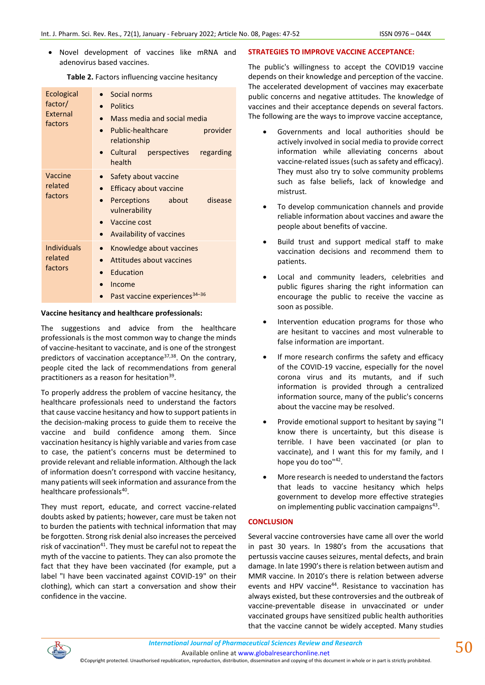• Novel development of vaccines like mRNA and adenovirus based vaccines.

| Ecological<br>factor/<br>External<br>factors | Social norms<br><b>Politics</b><br>Mass media and social media<br>$\bullet$<br>Public-healthcare<br>provider<br>relationship<br>Cultural<br>regarding<br>perspectives<br>health |
|----------------------------------------------|---------------------------------------------------------------------------------------------------------------------------------------------------------------------------------|
| Vaccine<br>related<br>factors                | Safety about vaccine<br>$\bullet$<br><b>Efficacy about vaccine</b><br>disease<br>Perceptions<br>about<br>vulnerability<br>Vaccine cost<br>Availability of vaccines              |
| <b>Individuals</b><br>related<br>factors     | Knowledge about vaccines<br>$\bullet$<br>Attitudes about vaccines<br>$\bullet$<br>Education<br>Income<br>Past vaccine experiences <sup>34-36</sup>                              |

#### **Vaccine hesitancy and healthcare professionals:**

The suggestions and advice from the healthcare professionals is the most common way to change the minds of vaccine-hesitant to vaccinate, and is one of the strongest predictors of vaccination acceptance<sup>37,38</sup>. On the contrary, people cited the lack of recommendations from general practitioners as a reason for hesitation<sup>39</sup>.

To properly address the problem of vaccine hesitancy, the healthcare professionals need to understand the factors that cause vaccine hesitancy and how to support patients in the decision-making process to guide them to receive the vaccine and build confidence among them. Since vaccination hesitancy is highly variable and varies from case to case, the patient's concerns must be determined to provide relevant and reliable information. Although the lack of information doesn't correspond with vaccine hesitancy, many patients will seek information and assurance from the healthcare professionals<sup>40</sup>.

They must report, educate, and correct vaccine-related doubts asked by patients; however, care must be taken not to burden the patients with technical information that may be forgotten. Strong risk denial also increases the perceived risk of vaccination $41$ . They must be careful not to repeat the myth of the vaccine to patients. They can also promote the fact that they have been vaccinated (for example, put a label "I have been vaccinated against COVID-19" on their clothing), which can start a conversation and show their confidence in the vaccine.

### **STRATEGIES TO IMPROVE VACCINE ACCEPTANCE:**

The public's willingness to accept the COVID19 vaccine depends on their knowledge and perception of the vaccine. The accelerated development of vaccines may exacerbate public concerns and negative attitudes. The knowledge of vaccines and their acceptance depends on several factors. The following are the ways to improve vaccine acceptance,

- Governments and local authorities should be actively involved in social media to provide correct information while alleviating concerns about vaccine-related issues (such as safety and efficacy). They must also try to solve community problems such as false beliefs, lack of knowledge and mistrust.
- To develop communication channels and provide reliable information about vaccines and aware the people about benefits of vaccine.
- Build trust and support medical staff to make vaccination decisions and recommend them to patients.
- Local and community leaders, celebrities and public figures sharing the right information can encourage the public to receive the vaccine as soon as possible.
- Intervention education programs for those who are hesitant to vaccines and most vulnerable to false information are important.
- If more research confirms the safety and efficacy of the COVID-19 vaccine, especially for the novel corona virus and its mutants, and if such information is provided through a centralized information source, many of the public's concerns about the vaccine may be resolved.
- Provide emotional support to hesitant by saying "I know there is uncertainty, but this disease is terrible. I have been vaccinated (or plan to vaccinate), and I want this for my family, and I hope you do too"42.
- More research is needed to understand the factors that leads to vaccine hesitancy which helps government to develop more effective strategies on implementing public vaccination campaigns<sup>43</sup>.

# **CONCLUSION**

Several vaccine controversies have came all over the world in past 30 years. In 1980's from the accusations that pertussis vaccine causes seizures, mental defects, and brain damage. In late 1990's there is relation between autism and MMR vaccine. In 2010's there is relation between adverse events and HPV vaccine<sup>44</sup>. Resistance to vaccination has always existed, but these controversies and the outbreak of vaccine-preventable disease in unvaccinated or under vaccinated groups have sensitized public health authorities that the vaccine cannot be widely accepted. Many studies



Available online a[t www.globalresearchonline.net](http://www.globalresearchonline.net/)

©Copyright protected. Unauthorised republication, reproduction, distribution, dissemination and copying of this document in whole or in part is strictly prohibited.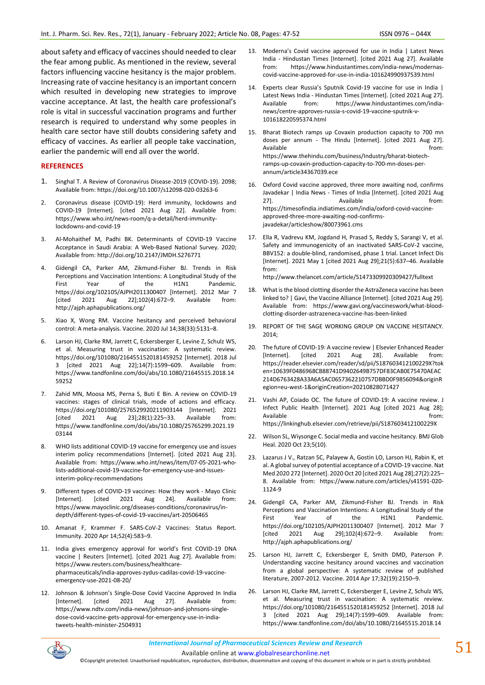about safety and efficacy of vaccines should needed to clear the fear among public. As mentioned in the review, several factors influencing vaccine hesitancy is the major problem. Increasing rate of vaccine hesitancy is an important concern which resulted in developing new strategies to improve vaccine acceptance. At last, the health care professional's role is vital in successful vaccination programs and further research is required to understand why some peoples in health care sector have still doubts considering safety and efficacy of vaccines. As earlier all people take vaccination, earlier the pandemic will end all over the world.

#### **REFERENCES**

- 1. Singhal T. A Review of Coronavirus Disease-2019 (COVID-19). 2098; Available from: https://doi.org/10.1007/s12098-020-03263-6
- 2. Coronavirus disease (COVID-19): Herd immunity, lockdowns and COVID-19 [Internet]. [cited 2021 Aug 22]. Available from: https://www.who.int/news-room/q-a-detail/herd-immunitylockdowns-and-covid-19
- 3. Al-Mohaithef M, Padhi BK. Determinants of COVID-19 Vaccine Acceptance in Saudi Arabia: A Web-Based National Survey. 2020; Available from: http://doi.org/10.2147/JMDH.S276771
- 4. Gidengil CA, Parker AM, Zikmund-Fisher BJ. Trends in Risk Perceptions and Vaccination Intentions: A Longitudinal Study of the First Year of the H1N1 Pandemic. https://doi.org/102105/AJPH2011300407 [Internet]. 2012 Mar 7 [cited 2021 Aug 22];102(4):672–9. Available from: http://ajph.aphapublications.org/
- 5. Xiao X, Wong RM. Vaccine hesitancy and perceived behavioral control: A meta-analysis. Vaccine. 2020 Jul 14;38(33):5131–8.
- 6. Larson HJ, Clarke RM, Jarrett C, Eckersberger E, Levine Z, Schulz WS, et al. Measuring trust in vaccination: A systematic review. https://doi.org/101080/2164551520181459252 [Internet]. 2018 Jul 3 [cited 2021 Aug 22];14(7):1599–609. Available from: https://www.tandfonline.com/doi/abs/10.1080/21645515.2018.14 59252
- 7. Zahid MN, Moosa MS, Perna S, Buti E Bin. A review on COVID-19 vaccines: stages of clinical trials, mode of actions and efficacy. https://doi.org/101080/2576529920211903144 [Internet]. 2021 [cited 2021 Aug 23];28(1):225–33. Available from: https://www.tandfonline.com/doi/abs/10.1080/25765299.2021.19 03144
- 8. WHO lists additional COVID-19 vaccine for emergency use and issues interim policy recommendations [Internet]. [cited 2021 Aug 23]. Available from: https://www.who.int/news/item/07-05-2021-wholists-additional-covid-19-vaccine-for-emergency-use-and-issuesinterim-policy-recommendations
- 9. Different types of COVID-19 vaccines: How they work Mayo Clinic [Internet]. [cited 2021 Aug 24]. Available from: https://www.mayoclinic.org/diseases-conditions/coronavirus/indepth/different-types-of-covid-19-vaccines/art-20506465
- 10. Amanat F, Krammer F. SARS-CoV-2 Vaccines: Status Report. Immunity. 2020 Apr 14;52(4):583–9.
- 11. India gives emergency approval for world's first COVID-19 DNA vaccine | Reuters [Internet]. [cited 2021 Aug 27]. Available from: https://www.reuters.com/business/healthcarepharmaceuticals/india-approves-zydus-cadilas-covid-19-vaccineemergency-use-2021-08-20/
- 12. Johnson & Johnson's Single-Dose Covid Vaccine Approved In India [Internet]. [cited 2021 Aug 27]. Available from: https://www.ndtv.com/india-news/johnson-and-johnsons-singledose-covid-vaccine-gets-approval-for-emergency-use-in-indiatweets-health-minister-2504931
- 13. Moderna's Covid vaccine approved for use in India | Latest News India - Hindustan Times [Internet]. [cited 2021 Aug 27]. Available from: https://www.hindustantimes.com/india-news/modernascovid-vaccine-approved-for-use-in-india-101624990937539.html
- 14. Experts clear Russia's Sputnik Covid-19 vaccine for use in India | Latest News India - Hindustan Times [Internet]. [cited 2021 Aug 27]. Available from: https://www.hindustantimes.com/indianews/centre-approves-russia-s-covid-19-vaccine-sputnik-v-101618220595374.html
- 15. Bharat Biotech ramps up Covaxin production capacity to 700 mn doses per annum - The Hindu [Internet]. [cited 2021 Aug 27]. Available **the contract of the contract of the contract of the contract of the contract of the contract of the contract of the contract of the contract of the contract of the contract of the contract of the contract of the** https://www.thehindu.com/business/Industry/bharat-biotechramps-up-covaxin-production-capacity-to-700-mn-doses-perannum/article34367039.ece
- 16. Oxford Covid vaccine approved, three more awaiting nod, confirms Javadekar | India News - Times of India [Internet]. [cited 2021 Aug 27]. Available **Available** from: https://timesofindia.indiatimes.com/india/oxford-covid-vaccineapproved-three-more-awaiting-nod-confirmsjavadekar/articleshow/80073961.cms
- 17. Ella R, Vadrevu KM, Jogdand H, Prasad S, Reddy S, Sarangi V, et al. Safety and immunogenicity of an inactivated SARS-CoV-2 vaccine, BBV152: a double-blind, randomised, phase 1 trial. Lancet Infect Dis [Internet]. 2021 May 1 [cited 2021 Aug 29];21(5):637–46. Available from:

http://www.thelancet.com/article/S1473309920309427/fulltext

- 18. What is the blood clotting disorder the AstraZeneca vaccine has been linked to? | Gavi, the Vaccine Alliance [Internet]. [cited 2021 Aug 29]. Available from: https://www.gavi.org/vaccineswork/what-bloodclotting-disorder-astrazeneca-vaccine-has-been-linked
- 19. REPORT OF THE SAGE WORKING GROUP ON VACCINE HESITANCY. 2014;
- 20. The future of COVID-19: A vaccine review | Elsevier Enhanced Reader [Internet]. [cited 2021 Aug 28]. Available from: https://reader.elsevier.com/reader/sd/pii/S187603412100229X?tok en=10639F0486968CB88741D9402649B757DF83CAB0E75470AEAC 214D6763428A33A6A5AC0657362210757DBBD0F9856094&originR egion=eu-west-1&originCreation=20210828071427
- 21. Vashi AP, Coiado OC. The future of COVID-19: A vaccine review. J Infect Public Health [Internet]. 2021 Aug [cited 2021 Aug 28]; Available **the contract of the contract of the contract of the contract of the contract of the contract of the contract of the contract of the contract of the contract of the contract of the contract of the contract of the** https://linkinghub.elsevier.com/retrieve/pii/S187603412100229X
- 22. Wilson SL, Wiysonge C. Social media and vaccine hesitancy. BMJ Glob Heal. 2020 Oct 23;5(10).
- 23. Lazarus J V., Ratzan SC, Palayew A, Gostin LO, Larson HJ, Rabin K, et al. A global survey of potential acceptance of a COVID-19 vaccine. Nat Med 2020 272 [Internet]. 2020 Oct 20 [cited 2021 Aug 28];27(2):225– 8. Available from: https://www.nature.com/articles/s41591-020- 1124-9
- 24. Gidengil CA, Parker AM, Zikmund-Fisher BJ. Trends in Risk Perceptions and Vaccination Intentions: A Longitudinal Study of the First Year of the H1N1 Pandemic. https://doi.org/102105/AJPH2011300407 [Internet]. 2012 Mar 7 [cited 2021 Aug 29];102(4):672–9. Available from: http://ajph.aphapublications.org/
- 25. Larson HJ, Jarrett C, Eckersberger E, Smith DMD, Paterson P. Understanding vaccine hesitancy around vaccines and vaccination from a global perspective: A systematic review of published literature, 2007-2012. Vaccine. 2014 Apr 17;32(19):2150–9.
- 26. Larson HJ, Clarke RM, Jarrett C, Eckersberger E, Levine Z, Schulz WS, et al. Measuring trust in vaccination: A systematic review. https://doi.org/101080/2164551520181459252 [Internet]. 2018 Jul 3 [cited 2021 Aug 29];14(7):1599–609. Available from: https://www.tandfonline.com/doi/abs/10.1080/21645515.2018.14



Available online a[t www.globalresearchonline.net](http://www.globalresearchonline.net/)

©Copyright protected. Unauthorised republication, reproduction, distribution, dissemination and copying of this document in whole or in part is strictly prohibited.